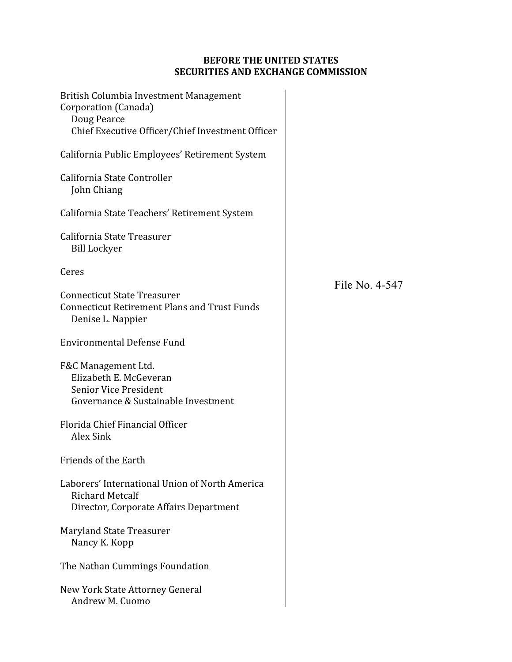# **BEFORE
THE
UNITED
STATES SECURITIES
AND
EXCHANGE
COMMISSION**

| British Columbia Investment Management<br>Corporation (Canada)<br>Doug Pearce                                      |                |
|--------------------------------------------------------------------------------------------------------------------|----------------|
| Chief Executive Officer/Chief Investment Officer                                                                   |                |
| California Public Employees' Retirement System                                                                     |                |
| California State Controller<br>John Chiang                                                                         |                |
| California State Teachers' Retirement System                                                                       |                |
| California State Treasurer<br><b>Bill Lockyer</b>                                                                  |                |
| Ceres                                                                                                              |                |
| <b>Connecticut State Treasurer</b><br><b>Connecticut Retirement Plans and Trust Funds</b><br>Denise L. Nappier     | File No. 4-547 |
| <b>Environmental Defense Fund</b>                                                                                  |                |
| F&C Management Ltd.<br>Elizabeth E. McGeveran<br>Senior Vice President<br>Governance & Sustainable Investment      |                |
| Florida Chief Financial Officer<br><b>Alex Sink</b>                                                                |                |
| Friends of the Earth                                                                                               |                |
| Laborers' International Union of North America<br><b>Richard Metcalf</b><br>Director, Corporate Affairs Department |                |
| Maryland State Treasurer<br>Nancy K. Kopp                                                                          |                |
| The Nathan Cummings Foundation                                                                                     |                |
| New York State Attorney General<br>Andrew M. Cuomo                                                                 |                |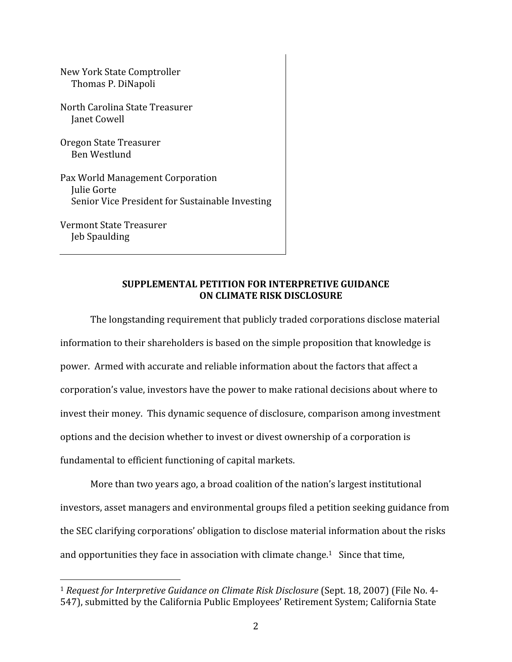New
York
State
Comptroller Thomas
P.
DiNapoli North
Carolina
State
Treasurer Janet
Cowell Oregon
State
Treasurer Ben
Westlund Pax
World
Management
Corporation Julie
Gorte Senior
Vice
President
for
Sustainable
Investing Vermont
State
Treasurer Jeb
Spaulding

#### **SUPPLEMENTAL
PETITION
FOR
INTERPRETIVE
GUIDANCE ON
CLIMATE
RISK
DISCLOSURE**

The longstanding requirement that publicly traded corporations disclose material information to their shareholders is based on the simple proposition that knowledge is power.

Armed
with
accurate
and
reliable
information
about
the
factors
that
affect
a corporation's
value,
investors
have
the
power
to
make
rational
decisions
about
where
to invest
their
money.

This
dynamic
sequence
of
disclosure,
comparison
among
investment options
and
the
decision
whether
to
invest
or
divest
ownership
of
a
corporation
is fundamental
to
efficient
functioning
of
capital
markets.

More than two years ago, a broad coalition of the nation's largest institutional investors,
asset
managers
and
environmental
groups
filed
a
petition
seeking
guidance
from the
SEC
clarifying
corporations'
obligation
to
disclose
material
information
about
the
risks and opportunities they face in association with climate change.<sup>1</sup> Since that time,

<sup>&</sup>lt;sup>1</sup> Request for Interpretive Guidance on Climate Risk Disclosure (Sept. 18, 2007) (File No. 4-547),
submitted
by
the
California
Public
Employees'
Retirement
System;
California
State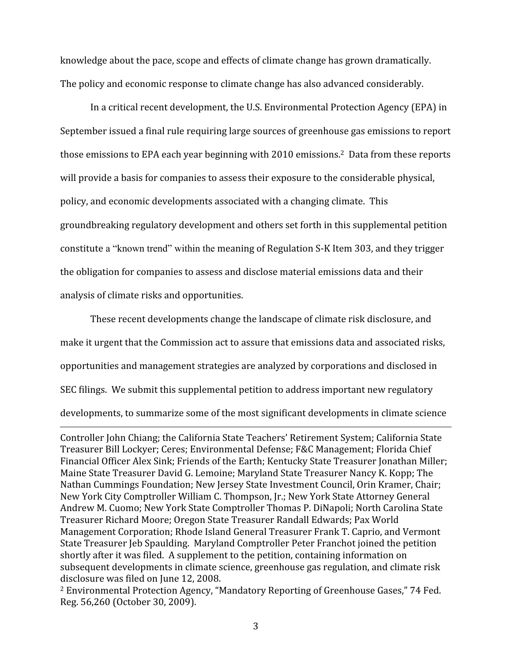knowledge about the pace, scope and effects of climate change has grown dramatically. The
policy
and
economic
response
to
climate
change
has
also
advanced
considerably.

In
a
critical
recent
development,
the
U.S.
Environmental
Protection
Agency
(EPA)
in September issued a final rule requiring large sources of greenhouse gas emissions to report those emissions to EPA each year beginning with 2010 emissions.<sup>2</sup> Data from these reports will provide a basis for companies to assess their exposure to the considerable physical, policy,
and
economic
developments
associated
with
a
changing
climate.

This groundbreaking regulatory development and others set forth in this supplemental petition constitute a "known trend" within themeaning
of
Regulation
S‐K
Item
303,
and
they
trigger the
obligation
for
companies
to
assess
and
disclose
material
emissions
data
and
their analysis
of
climate
risks
and
opportunities.

These
recent
developments
change
the
landscape
of
climate
risk
disclosure,
and make it urgent that the Commission act to assure that emissions data and associated risks, opportunities
and
management
strategies
are
analyzed
by
corporations
and
disclosed
in SEC filings. We submit this supplemental petition to address important new regulatory developments, to summarize some of the most significant developments in climate science

<u> 2002 - Andrea San Andrea San Andrea San Andrea San Andrea San Andrea San Andrea San Andrea San Andrea San An</u>

Controller John Chiang; the California State Teachers' Retirement System; California State Treasurer
Bill
Lockyer;
Ceres;
Environmental
Defense;
F&C
Management;
Florida
Chief Financial Officer Alex Sink: Friends of the Earth: Kentucky State Treasurer Ionathan Miller: Maine
State
Treasurer
David
G.
Lemoine;
Maryland
State
Treasurer
Nancy
K.
Kopp;
The Nathan
Cummings
Foundation;
New
Jersey
State
Investment
Council,
Orin
Kramer,
Chair; New
York
City
Comptroller
William
C.
Thompson,
Jr.;
New
York
State
Attorney
General Andrew
M.
Cuomo;
New
York
State
Comptroller
Thomas
P.
DiNapoli;
North
Carolina
State Treasurer
Richard
Moore;
Oregon
State
Treasurer
Randall
Edwards;
Pax
World Management
Corporation;
Rhode
Island
General
Treasurer
Frank
T.
Caprio,
and
Vermont State Treasurer Jeb Spaulding. Maryland Comptroller Peter Franchot joined the petition shortly
after
it
was
filed.

A
supplement
to
the
petition,
containing
information
on subsequent
developments
in
climate
science,
greenhouse
gas
regulation,
and
climate
risk disclosure
was
filed
on
June
12,
2008.

<sup>2</sup> Environmental Protection Agency, "Mandatory Reporting of Greenhouse Gases," 74 Fed. Reg.
56,260
(October
30,
2009).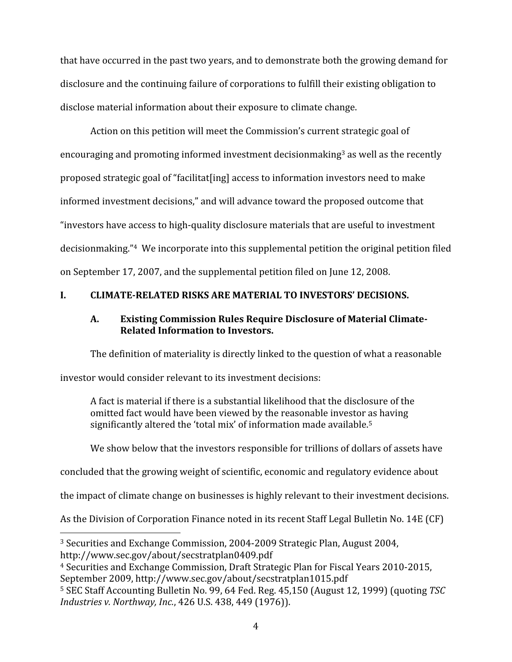that have occurred in the past two years, and to demonstrate both the growing demand for disclosure
and
the
continuing
failure
of
corporations
to
fulfill
their
existing
obligation
to disclose
material
information
about
their
exposure
to
climate
change.

Action on this petition will meet the Commission's current strategic goal of encouraging and promoting informed investment decisionmaking<sup>3</sup> as well as the recently proposed strategic goal of "facilitat [ing] access to information investors need to make informed
investment
decisions,"
and
will
advance
toward
the
proposed
outcome
that "investors have access to high-quality disclosure materials that are useful to investment decisionmaking."4

We
incorporate
into
this
supplemental
petition
the
original
petition
filed on
September
17,
2007,
and
the
supplemental
petition
filed
on
June
12,
2008.

# I. CLIMATE-RELATED RISKS ARE MATERIAL TO INVESTORS' DECISIONS.

## **A. Existing
Commission
Rules
Require
Disclosure
of
Material
Climate-Related
Information
to
Investors.**

The definition of materiality is directly linked to the question of what a reasonable

investor would consider relevant to its investment decisions:

A fact is material if there is a substantial likelihood that the disclosure of the omitted
fact
would
have
been
viewed
by
the
reasonable
investor
as
having significantly altered the 'total mix' of information made available.<sup>5</sup>

We show below that the investors responsible for trillions of dollars of assets have

concluded
that
the
growing
weight
of
scientific,
economic
and
regulatory
evidence
about

the
impact
of
climate
change
on
businesses
is
highly
relevant
to
their
investment
decisions.

As the Division of Corporation Finance noted in its recent Staff Legal Bulletin No. 14E (CF)

4
Securities
and
Exchange
Commission,
Draft
Strategic
Plan
for
Fiscal
Years
2010‐2015, September
2009,
http://www.sec.gov/about/secstratplan1015.pdf

<sup>3</sup>Securities
and
Exchange
Commission,
2004‐2009
Strategic
Plan,
August
2004, http://www.sec.gov/about/secstratplan0409.pdf

<sup>&</sup>lt;sup>5</sup> SEC Staff Accounting Bulletin No. 99, 64 Fed. Reg. 45,150 (August 12, 1999) (quoting TSC *Industries
v.
Northway,
Inc.*,
426
U.S.
438,
449
(1976)).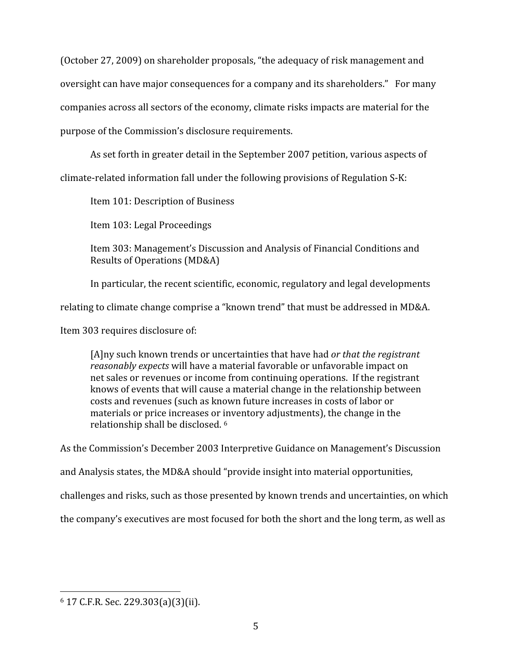(October
27,
2009)
on
shareholder
proposals, "the
adequacy
of
risk
management
and oversight
can
have
major
consequences
for
a
company
and
its
shareholders."

For
many companies
across
all
sectors
of
the
economy,
climate
risks
impacts
are
material
for
the purpose
of
the
Commission's
disclosure
requirements.

As
set
forth
in
greater
detail
in
the
September
2007
petition,
various
aspects
of

climate‐related
information
fall
under
the
following
provisions
of
Regulation
S‐K:

Item
101:
Description
of
Business

Item
103:
Legal
Proceedings

Item 303: Management's Discussion and Analysis of Financial Conditions and Results
of
Operations
(MD&A)

In
particular,
the
recent
scientific,
economic,
regulatory
and
legal
developments

relating to climate change comprise a "known trend" that must be addressed in MD&A.

Item
303
requires
disclosure
of:

[A]ny
such
known
trends
or
uncertainties
that
have
had *or
that
the
registrant*  reasonably expects will have a material favorable or unfavorable impact on net sales or revenues or income from continuing operations. If the registrant knows of events that will cause a material change in the relationship between costs
and
revenues
(such
as
known
future
increases
in
costs
of
labor
or materials or price increases or inventory adjustments), the change in the relationship
shall
be
disclosed.
6

As
the
Commission's
December
2003
Interpretive
Guidance
on
Management's
Discussion

and
Analysis
states,
the
MD&A
should
"provide
insight
into
material
opportunities,

challenges
and
risks,
such
as
those
presented
by
known
trends
and
uncertainties,
on
which

the
company's
executives
are
most
focused
for
both
the
short
and
the
long
term,
as
well
as

 $6$  17 C.F.R. Sec. 229.303(a)(3)(ii).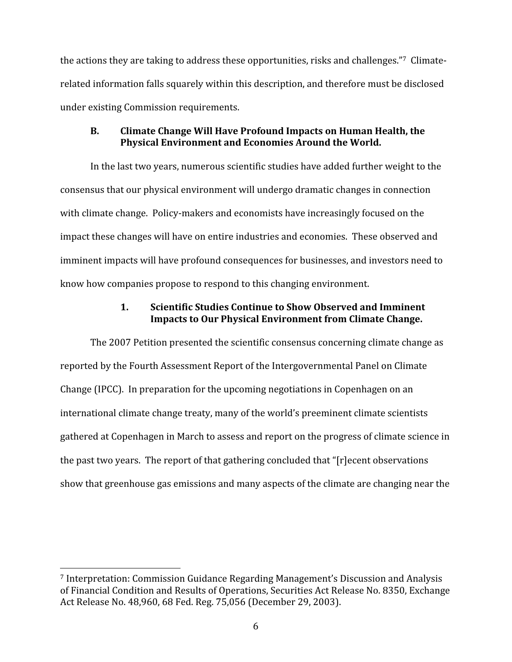the actions they are taking to address these opportunities, risks and challenges."7 Climaterelated
information
falls
squarely
within
this
description,
and
therefore
must
be
disclosed under
existing
Commission
requirements.

### **B. Climate
Change
Will
Have
Profound
Impacts
on
Human
Health,
the Physical
Environment
and
Economies
Around
the
World.**

In the last two years, numerous scientific studies have added further weight to the consensus
that
our
physical
environment
will
undergo
dramatic
changes
in
connection with climate change. Policy-makers and economists have increasingly focused on the impact these changes will have on entire industries and economies. These observed and imminent
impacts
will
have
profound
consequences
for
businesses,
and
investors
need
to know how companies propose to respond to this changing environment.

# **1. Scientific
Studies
Continue
to
Show
Observed
and
Imminent Impacts
to
Our
Physical
Environment
from
Climate
Change.**

The
2007
Petition
presented
the
scientific
consensus
concerning
climate
change
as reported
by
the
Fourth
Assessment
Report
of
the
Intergovernmental
Panel
on
Climate Change
(IPCC).

In
preparation
for
the
upcoming
negotiations
in
Copenhagen
on
an international
climate
change
treaty,
many
of
the
world's
preeminent
climate
scientists gathered
at
Copenhagen
in
March
to
assess
and
report
on
the
progress
of
climate
science
in the
past
two
years.

The
report
of
that
gathering
concluded
that
"[r]ecent
observations show
that
greenhouse
gas
emissions
and
many
aspects
of
the
climate
are
changing
near
the

<sup>7</sup>Interpretation:
Commission
Guidance
Regarding
Management's
Discussion
and
Analysis of
Financial
Condition
and
Results
of
Operations,
Securities
Act
Release
No.
8350,
Exchange Act Release No. 48,960, 68 Fed. Reg. 75,056 (December 29, 2003).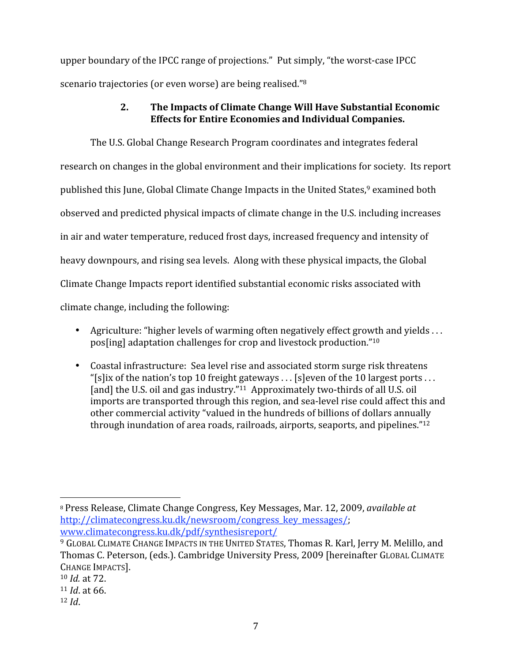upper boundary of the IPCC range of projections." Put simply, "the worst-case IPCC scenario trajectories (or even worse) are being realised."<sup>8</sup>

# **2. The
Impacts
of
Climate
Change
Will
Have
Substantial
Economic Effects
for
Entire
Economies
and
Individual
Companies.**

The
U.S.
Global
Change
Research
Program
coordinates
and
integrates
federal research
on
changes
in
the
global
environment
and
their
implications
for
society.

Its
report published this June, Global Climate Change Impacts in the United States,<sup>9</sup> examined both observed
and
predicted
physical
impacts
of
climate
change
in
the
U.S.
including
increases in
air
and
water
temperature,
reduced
frost
days,
increased
frequency
and
intensity
of heavy downpours, and rising sea levels. Along with these physical impacts, the Global Climate
Change
Impacts
report
identified
substantial
economic
risks
associated
with climate
change,
including
the
following:

- Agriculture: "higher levels of warming often negatively effect growth and yields... pos[ing]
adaptation
challenges
for
crop
and
livestock
production."10
- Coastal infrastructure: Sea level rise and associated storm surge risk threatens "[s] ix of the nation's top 10 freight gateways . . . [s] even of the 10 largest ports . . . [and] the U.S. oil and gas industry."<sup>11</sup> Approximately two-thirds of all U.S. oil imports are transported through this region, and sea-level rise could affect this and other commercial activity "valued in the hundreds of billions of dollars annually through inundation of area roads, railroads, airports, seaports, and pipelines."<sup>12</sup>

<sup>8</sup> Press
Release,
Climate
Change
Congress,
Key
Messages,
Mar.
12,
2009, *available
at* http://climatecongress.ku.dk/newsroom/congress\_key\_messages/; www.climatecongress.ku.dk/pdf/synthesisreport/

<sup>&</sup>lt;sup>9</sup> GLOBAL CLIMATE CHANGE IMPACTS IN THE UNITED STATES, Thomas R. Karl, Jerry M. Melillo, and Thomas
C.
Peterson,
(eds.).
Cambridge
University
Press,
2009
[hereinafter
GLOBAL
CLIMATE CHANGE
IMPACTS].

<sup>10</sup> *Id.*at
72.

<sup>11</sup> *Id*.
at
66.

<sup>12</sup> *Id*.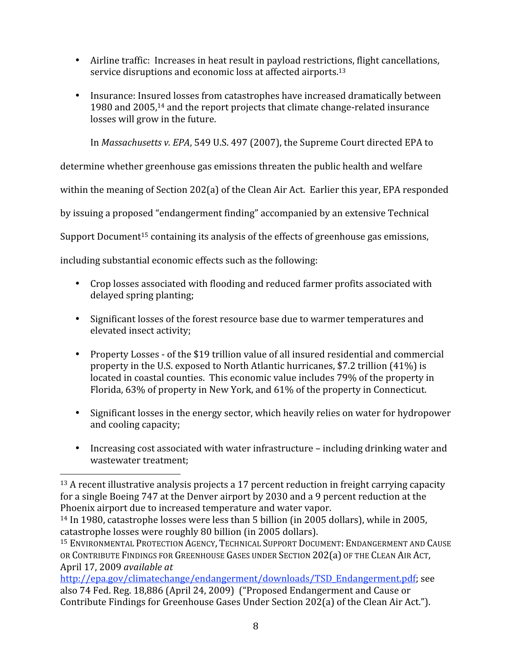- Airline traffic: Increases in heat result in payload restrictions, flight cancellations, service disruptions and economic loss at affected airports.<sup>13</sup>
- Insurance: Insured losses from catastrophes have increased dramatically between 1980 and 2005.<sup>14</sup> and the report projects that climate change-related insurance losses
will
grow
in
the
future.

In *Massachusetts
v.
EPA*,
549
U.S.
497
(2007),
the
Supreme
Court
directed
EPA
to

determine
whether
greenhouse
gas
emissions
threaten
the
public
health
and
welfare

within the meaning of Section 202(a) of the Clean Air Act. Earlier this year, EPA responded

by
issuing
a
proposed
"endangerment
finding"
accompanied
by
an
extensive
Technical

Support Document<sup>15</sup> containing its analysis of the effects of greenhouse gas emissions,

including
substantial
economic
effects
such
as
the
following:

- Crop losses associated with flooding and reduced farmer profits associated with delayed
spring
planting;
- Significant losses of the forest resource base due to warmer temperatures and elevated
insect
activity;
- Property Losses of the \$19 trillion value of all insured residential and commercial property
in
the
U.S.
exposed
to
North
Atlantic
hurricanes,
\$7.2
trillion
(41%)
is located in coastal counties. This economic value includes 79% of the property in Florida, 63% of property in New York, and 61% of the property in Connecticut.
- Significant losses in the energy sector, which heavily relies on water for hydropower and
cooling
capacity;
- Increasing cost associated with water infrastructure including drinking water and wastewater
treatment;

 <sup>13</sup> A recent illustrative analysis projects a 17 percent reduction in freight carrying capacity for a single Boeing 747 at the Denver airport by 2030 and a 9 percent reduction at the Phoenix
airport
due
to
increased
temperature and
water
vapor.

<sup>&</sup>lt;sup>14</sup> In 1980, catastrophe losses were less than 5 billion (in 2005 dollars), while in 2005, catastrophe
losses
were
roughly
80
billion
(in
2005
dollars).

<sup>&</sup>lt;sup>15</sup> ENVIRONMENTAL PROTECTION AGENCY, TECHNICAL SUPPORT DOCUMENT: ENDANGERMENT AND CAUSE OR CONTRIBUTE FINDINGS FOR GREENHOUSE GASES UNDER SECTION 202(a) OF THE CLEAN AIR ACT, April
17,
2009 *available
at* 

http://epa.gov/climatechange/endangerment/downloads/TSD\_Endangerment.pdf;
see also
74
Fed.
Reg.
18,886
(April
24,
2009)

("Proposed
Endangerment
and
Cause
or Contribute
Findings
for
Greenhouse
Gases
Under
Section
202(a)
of
the
Clean
Air
Act.").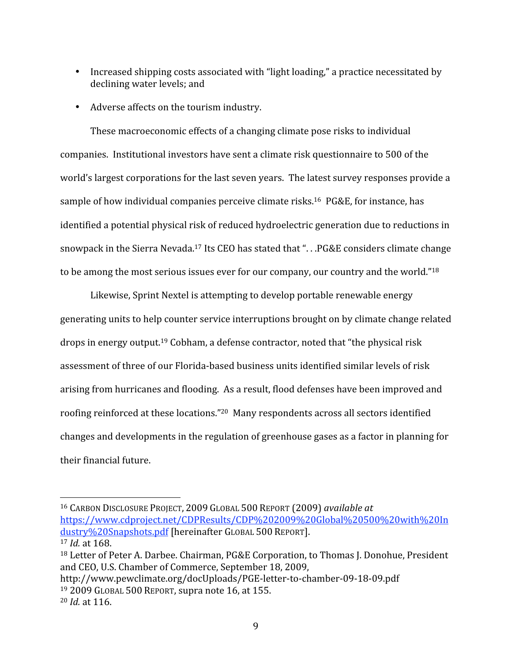- Increased shipping costs associated with "light loading," a practice necessitated by declining
water
levels;
and
- Adverse affects on the tourism industry.

These
macroeconomic
effects
of
a
changing
climate
pose
risks
to
individual companies.

Institutional
investors
have
sent
a
climate
risk
questionnaire
to
500
of
the world's largest corporations for the last seven years. The latest survey responses provide a sample of how individual companies perceive climate risks.<sup>16</sup> PG&E, for instance, has identified a potential physical risk of reduced hydroelectric generation due to reductions in snowpack in the Sierra Nevada.<sup>17</sup> Its CEO has stated that "...PG&E considers climate change to be among the most serious issues ever for our company, our country and the world."<sup>18</sup>

Likewise, Sprint Nextel is attempting to develop portable renewable energy generating
units
to
help
counter
service
interruptions
brought
on
by
climate
change
related drops
in
energy
output.19
Cobham,
a
defense
contractor,
noted
that
"the
physical
risk assessment
of
three
of our
Florida‐based business
units
identified similar
levels
of
risk arising
from
hurricanes and
flooding. As
a result,
flood
defenses have
been
improved and roofing reinforced at these locations."<sup>20</sup> Many respondents across all sectors identified changes
and
developments
in
the
regulation
of
greenhouse
gases
as
a
factor
in
planning
for their
financial
future.

<sup>18</sup> Letter of Peter A. Darbee. Chairman, PG&E Corporation, to Thomas J. Donohue, President and CEO, U.S. Chamber of Commerce, September 18, 2009. http://www.pewclimate.org/docUploads/PGE‐letter‐to‐chamber‐09‐18‐09.pdf 19
2009
GLOBAL
500 REPORT,
supra
note
16,
at
155.

<sup>&</sup>lt;sup>16</sup> CARBON DISCLOSURE PROJECT, 2009 GLOBAL 500 REPORT (2009) *available at* https://www.cdproject.net/CDPResults/CDP%202009%20Global%20500%20with%20In dustry%20Snapshots.pdf
[hereinafter
GLOBAL
500 REPORT]. <sup>17</sup> *Id.* at
168.

<sup>20</sup> *Id.*at
116.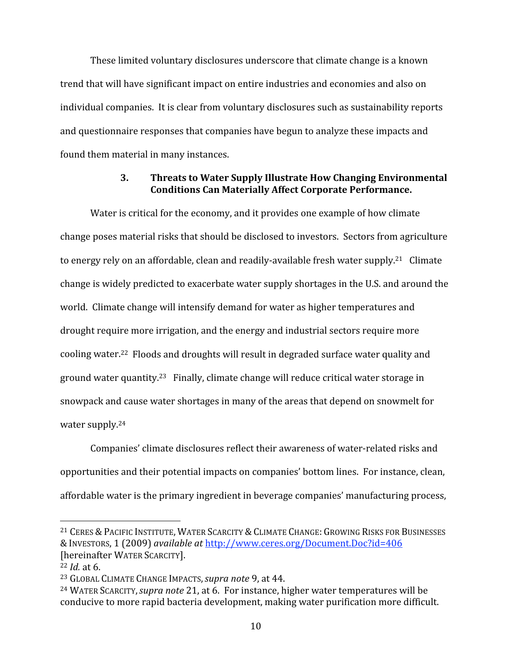These limited voluntary disclosures underscore that climate change is a known trend
that
will
have
significant
impact
on
entire
industries
and
economies
and
also
on individual companies. It is clear from voluntary disclosures such as sustainability reports and
questionnaire
responses
that
companies
have
begun
to
analyze
these
impacts
and found
them
material
in
many
instances.

## **3. Threats
to
Water
Supply
Illustrate
How
Changing
Environmental Conditions
Can
Materially
Affect
Corporate
Performance.**

Water is critical for the economy, and it provides one example of how climate change
poses
material
risks
that
should
be
disclosed
to
investors.

Sectors
from
agriculture to energy rely on an affordable, clean and readily-available fresh water supply.<sup>21</sup> Climate change
is
widely
predicted
to
exacerbate
water
supply
shortages
in
the
U.S.
and
around
the world. Climate change will intensify demand for water as higher temperatures and drought
require
more
irrigation,
and
the
energy
and
industrial
sectors
require
more cooling water.<sup>22</sup> Floods and droughts will result in degraded surface water quality and ground water quantity.<sup>23</sup> Finally, climate change will reduce critical water storage in snowpack
and
cause
water
shortages
in
many
of
the
areas
that
depend
on
snowmelt
for water
supply.24

Companies'
climate
disclosures
reflect
their
awareness
of
water‐related
risks
and opportunities
and
their
potential
impacts
on
companies'
bottom
lines.

For
instance,
clean, affordable
water
is
the
primary
ingredient
in
beverage
companies'
manufacturing
process,

<sup>&</sup>lt;sup>21</sup> CERES & PACIFIC INSTITUTE, WATER SCARCITY & CLIMATE CHANGE: GROWING RISKS FOR BUSINESSES & INVESTORS,
1
(2009) *available
at* http://www.ceres.org/Document.Doc?id=406 [hereinafter
WATER
SCARCITY].

<sup>22</sup> *Id.* at
6.

<sup>23</sup> GLOBAL
CLIMATE
CHANGE
IMPACTS,*supra
note* 9,
at
44.

<sup>24</sup> WATER
SCARCITY,*supra
note* 21,
at
6.

For
instance,
higher
water
temperatures
will
be conducive
to
more
rapid
bacteria
development,
making
water
purification
more
difficult.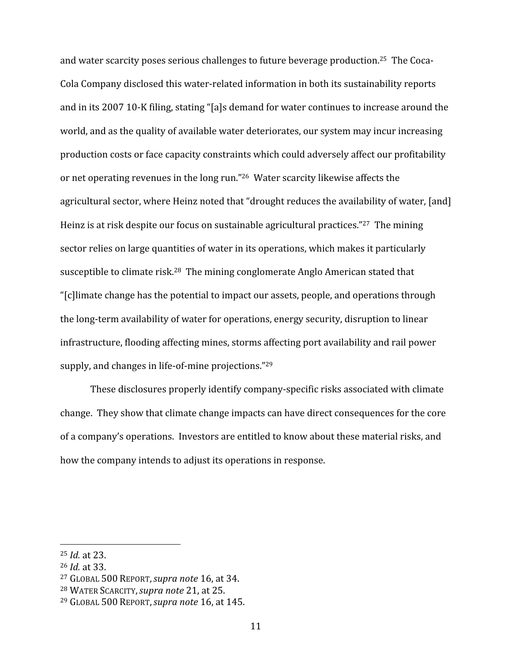and water scarcity poses serious challenges to future beverage production.<sup>25</sup> The Coca-Cola
Company
disclosed this
water‐related
information
in
both
its
sustainability
reports and
in
its
2007
10‐K
filing,
stating
"[a]s
demand
for
water
continues
to
increase
around
the world, and as the quality of available water deteriorates, our system may incur increasing production
costs
or
face
capacity
constraints
which
could
adversely
affect
our
profitability or
net
operating revenues
in
the
long
run."26

Water
scarcity
likewise
affects
the agricultural
sector,
where
Heinz
noted
that
"drought
reduces
the
availability
of
water,
[and] Heinz is at risk despite our focus on sustainable agricultural practices."<sup>27</sup> The mining sector relies on large quantities of water in its operations, which makes it particularly susceptible to climate risk.<sup>28</sup> The mining conglomerate Anglo American stated that "[c]limate
change
has the
potential
to
impact our
assets,
people, and
operations
through the
long‐term
availability of
water
for
operations, energy
security, disruption
to
linear infrastructure,
flooding affecting
mines,
storms affecting
port
availability and
rail
power supply, and
changes
in
life‐of‐mine
projections."29

These
disclosures
properly
identify
company‐specific
risks
associated
with
climate change.

They
show
that
climate
change
impacts
can
have
direct
consequences
for
the
core of
a
company's
operations.

Investors
are
entitled
to
know
about
these
material
risks,
and how the company intends to adjust its operations in response.

<sup>25</sup> *Id.* at
23.

<sup>26</sup> *Id.* at
33.

<sup>27</sup> GLOBAL
500 REPORT,*supra
note*16,
at
34.

<sup>28</sup> WATER
SCARCITY,*supra
note*21,
at
25.

<sup>29</sup> GLOBAL
500 REPORT,*supra
note* 16,
at
145.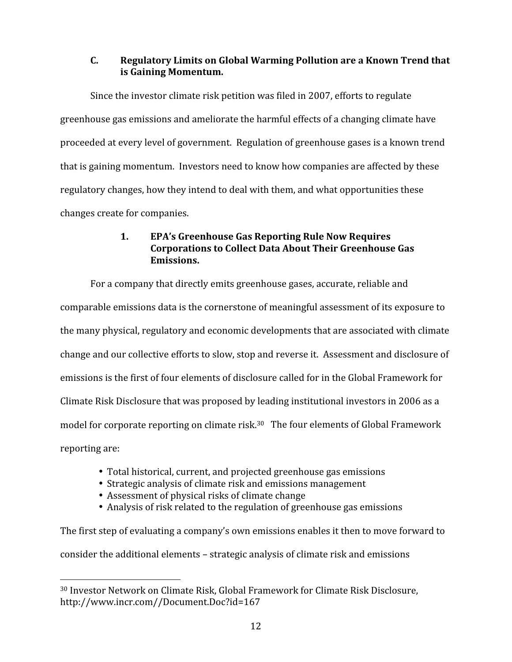## **C. Regulatory
Limits
on
Global
Warming
Pollution
are
a
Known
Trend
that is
Gaining
Momentum.**

Since
the
investor
climate
risk
petition
was
filed
in
2007,
efforts
to
regulate greenhouse
gas
emissions
and
ameliorate
the
harmful
effects
of
a
changing
climate
have proceeded
at
every
level
of
government.

Regulation
of
greenhouse
gases
is
a
known
trend that
is
gaining
momentum.

Investors
need
to
know
how
companies
are
affected
by
these regulatory
changes,
how
they
intend
to
deal
with
them,
and
what
opportunities
these changes
create
for
companies.

# **1. EPA's
Greenhouse
Gas
Reporting
Rule
Now
Requires**  Corporations to Collect Data About Their Greenhouse Gas **Emissions.**

For
a
company
that
directly
emits
greenhouse
gases,
accurate,
reliable
and comparable
emissions
data
is
the
cornerstone
of
meaningful
assessment
of
its
exposure
to the
many
physical,
regulatory
and
economic
developments
that
are
associated
with
climate change
and
our
collective
efforts
to
slow,
stop
and
reverse
it.

Assessment
and
disclosure
of emissions is the first of four elements of disclosure called for in the Global Framework for Climate Risk Disclosure that was proposed by leading institutional investors in 2006 as a model for corporate reporting on climate risk.<sup>30</sup> The four elements of Global Framework reporting
are:

- Total
historical,
current,
and
projected
greenhouse
gas
emissions
- Strategic
analysis
of
climate
risk
and
emissions
management
- Assessment of physical risks of climate change

• Analysis of risk related to the regulation of greenhouse gas emissions

The
first
step
of
evaluating
a
company's
own
emissions
enables
it
then
to
move
forward
to consider
the
additional
elements
–
strategic
analysis
of
climate
risk
and
emissions

<sup>30</sup>Investor
Network
on
Climate
Risk,
Global
Framework
for
Climate
Risk
Disclosure, http://www.incr.com//Document.Doc?id=167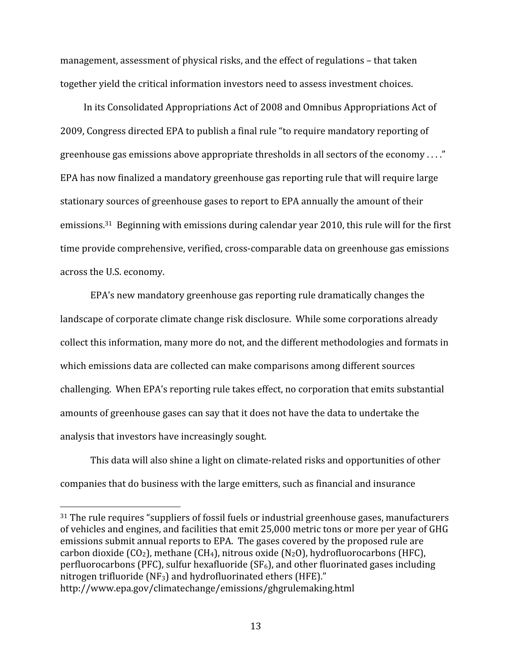management, assessment of physical risks, and the effect of regulations – that taken together
yield
the
critical
information
investors
need
to
assess
investment
choices.

In its Consolidated Appropriations Act of 2008 and Omnibus Appropriations Act of 2009,
Congress
directed
EPA
to
publish
a
final
rule
"to
require
mandatory
reporting
of greenhouse gas emissions above appropriate thresholds in all sectors of the economy ...." EPA
has
now
finalized
a
mandatory
greenhouse
gas
reporting
rule
that
will
require
large stationary
sources
of
greenhouse
gases
to
report
to
EPA
annually
the
amount
of
their emissions.<sup>31</sup> Beginning with emissions during calendar year 2010, this rule will for the first time
provide
comprehensive,
verified,
cross‐comparable
data
on
greenhouse
gas
emissions across
the
U.S.
economy.

EPA's
new
mandatory
greenhouse
gas
reporting
rule
dramatically
changes
the landscape of corporate climate change risk disclosure. While some corporations already collect
this
information,
many
more
do
not,
and
the
different
methodologies
and
formats
in which emissions data are collected can make comparisons among different sources challenging.

When
EPA's
reporting
rule
takes
effect,
no
corporation
that
emits
substantial amounts
of
greenhouse
gases
can
say
that
it
does
not
have
the
data
to
undertake
the analysis
that
investors
have
increasingly
sought.

This data will also shine a light on climate-related risks and opportunities of other companies
that
do
business
with
the
large
emitters,
such
as
financial
and
insurance

<sup>31</sup>The
rule
requires
"suppliers
of
fossil
fuels
or
industrial
greenhouse
gases,
manufacturers of
vehicles
and
engines,
and
facilities
that
emit
25,000
metric
tons
or
more
per
year
of
GHG emissions
submit
annual
reports
to
EPA. The
gases
covered
by
the
proposed
rule
are carbon dioxide  $(CO_2)$ , methane  $(CH_4)$ , nitrous oxide  $(N_2O)$ , hydrofluorocarbons (HFC), perfluorocarbons (PFC), sulfur hexafluoride ( $SF<sub>6</sub>$ ), and other fluorinated gases including nitrogen
trifluoride
(NF3)
and
hydrofluorinated
ethers
(HFE)." http://www.epa.gov/climatechange/emissions/ghgrulemaking.html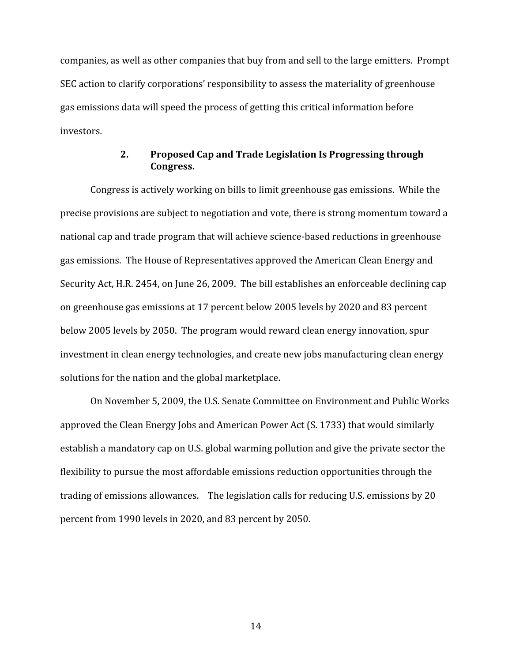companies,
as
well
as
other
companies
that
buy
from
and
sell
to
the
large
emitters.

Prompt SEC action to clarify corporations' responsibility to assess the materiality of greenhouse gas
emissions
data
will
speed
the
process
of
getting
this
critical
information
before investors.

### **2. Proposed
Cap
and
Trade
Legislation
Is
Progressing
through Congress.**

Congress is actively working on bills to limit greenhouse gas emissions. While the precise
provisions
are
subject
to
negotiation
and
vote,
there
is
strong
momentum
toward
a national
cap
and
trade
program
that
will
achieve
science‐based
reductions
in
greenhouse gas
emissions.

The
House
of
Representatives
approved
the
American
Clean
Energy
and Security Act, H.R. 2454, on June 26, 2009. The bill establishes an enforceable declining cap on
greenhouse
gas
emissions
at
17
percent
below
2005
levels
by
2020
and
83
percent below
2005
levels
by
2050.

The
program
would
reward
clean
energy
innovation,
spur investment in clean energy technologies, and create new jobs manufacturing clean energy solutions
for
the
nation
and
the
global
marketplace.

On
November
5,
2009,
the
U.S.
Senate
Committee
on
Environment
and
Public
Works approved
the
Clean
Energy
Jobs
and
American
Power
Act
(S.
1733) that
would
similarly establish a mandatory cap on U.S. global warming pollution and give the private sector the flexibility to pursue the most affordable emissions reduction opportunities through the trading
of
emissions
allowances. The
legislation
calls
for
reducing
U.S.
emissions
by
20 percent
from
1990
levels
in
2020,
and
83
percent
by
2050.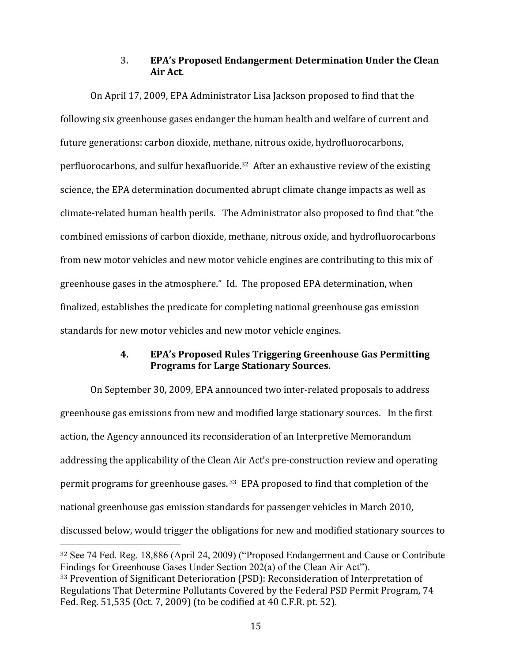## **3. EPA's
Proposed
Endangerment
Determination
Under
the
Clean Air
Act**.

On
April
17,
2009,
EPA
Administrator
Lisa
Jackson
proposed
to
find
that
the following
six
greenhouse
gases
endanger
the
human
health
and
welfare
of
current
and future generations: carbon dioxide, methane, nitrous oxide, hydrofluorocarbons, perfluorocarbons, and sulfur hexafluoride.<sup>32</sup> After an exhaustive review of the existing science,
the
EPA
determination
documented
abrupt
climate
change
impacts
as
well
as climate‐related
human
health
perils.

The
Administrator
also
proposed
to
find
that
"the combined
emissions
of
carbon
dioxide,
methane,
nitrous
oxide,
and
hydrofluorocarbons from
new
motor
vehicles
and
new
motor
vehicle
engines
are
contributing
to
this
mix
of greenhouse
gases
in
the
atmosphere."

Id.

The
proposed
EPA
determination,
when finalized,
establishes
the
predicate
for
completing
national
greenhouse
gas
emission standards for new motor vehicles and new motor vehicle engines.

### **4. EPA's
Proposed
Rules Triggering
Greenhouse
Gas
Permitting Programs
for
Large
Stationary
Sources.**

On
September
30,
2009,
EPA
announced
two
inter‐related
proposals
to
address greenhouse
gas
emissions
from
new
and
modified
large
stationary
sources.

In
the
first action,
the
Agency
announced
its
reconsideration
of
an
Interpretive
Memorandum addressing
the
applicability
of
the
Clean
Air
Act's
pre‐construction
review
and
operating permit programs for greenhouse gases.<sup>33</sup> EPA proposed to find that completion of the national
greenhouse
gas
emission
standards
for
passenger
vehicles
in
March
2010, discussed
below,
would
trigger
the
obligations
for
new
and
modified
stationary
sources
to

<sup>32</sup> See 74 Fed. Reg. 18,886 (April 24, 2009) ("Proposed Endangerment and Cause or Contribute Findings for Greenhouse Gases Under Section 202(a) of the Clean Air Act"). <sup>33</sup> Prevention of Significant Deterioration (PSD): Reconsideration of Interpretation of Regulations
That Determine
Pollutants
Covered
by
the Federal
PSD
Permit Program,
74 Fed. Reg. 51,535 (Oct. 7, 2009) (to be codified at 40 C.F.R. pt. 52).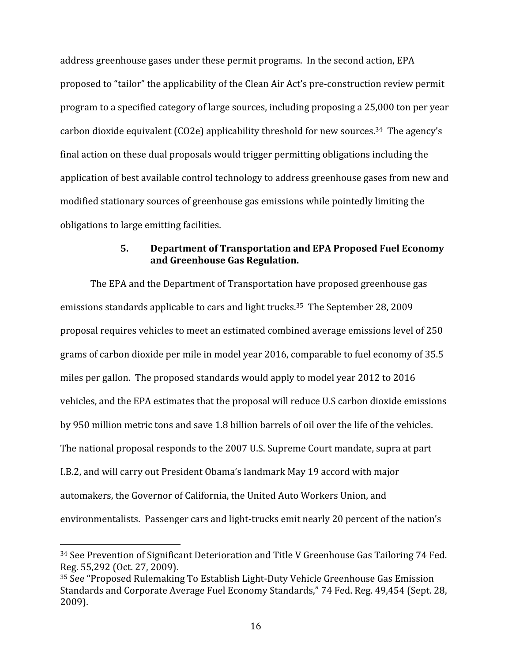address greenhouse gases under these permit programs. In the second action, EPA proposed
to
"tailor"
the
applicability
of
the
Clean
Air
Act's
pre‐construction
review permit program
to
a
specified
category
of
large
sources,
including
proposing
a
25,000
ton
per
year carbon
dioxide
equivalent
(CO2e)
applicability
threshold
for
new
sources.34

The
agency's final
action
on
these
dual
proposals
would
trigger
permitting
obligations
including
the application
of
best
available
control
technology
to
address
greenhouse
gases
from
new
and modified
stationary
sources
of
greenhouse
gas
emissions
while
pointedly
limiting
the obligations
to
large
emitting
facilities.

### **5. Department
of
Transportation
and
EPA
Proposed
Fuel
Economy and
Greenhouse
Gas
Regulation.**

The
EPA
and
the
Department
of
Transportation
have
proposed
greenhouse
gas emissions standards applicable to cars and light trucks.<sup>35</sup> The September 28, 2009 proposal
requires
vehicles
to
meet
an
estimated
combined
average
emissions
level
of
250 grams
of
carbon
dioxide
per
mile
in
model
year
2016,
comparable
to
fuel
economy
of
35.5 miles per gallon. The proposed standards would apply to model year 2012 to 2016 vehicles,
and
the
EPA
estimates
that
the
proposal
will
reduce
U.S
carbon
dioxide
emissions by 950 million metric tons and save 1.8 billion barrels of oil over the life of the vehicles. The national proposal responds to the 2007 U.S. Supreme Court mandate, supra at part I.B.2,
and
will
carry
out
President
Obama's
landmark
May
19 accord
with
major automakers,
the
Governor
of
California,
the
United
Auto
Workers
Union,
and environmentalists. Passenger cars and light-trucks emit nearly 20 percent of the nation's

<sup>&</sup>lt;sup>34</sup> See Prevention of Significant Deterioration and Title V Greenhouse Gas Tailoring 74 Fed. Reg.
55,292
(Oct.
27,
2009).

<sup>35</sup> See
"Proposed
Rulemaking
To
Establish
Light‐Duty
Vehicle
Greenhouse
Gas
Emission Standards
and
Corporate
Average
Fuel
Economy
Standards,"
74
Fed.
Reg.
49,454
(Sept.
28, 2009).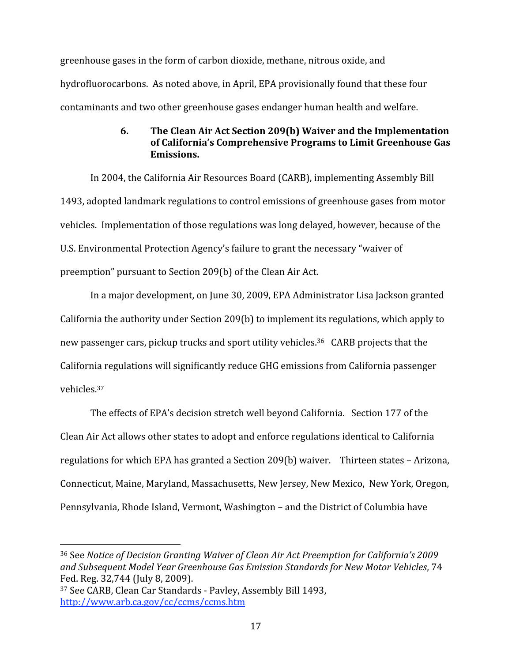greenhouse
gases
in
the
form
of
carbon
dioxide,
methane,
nitrous
oxide,
and hydrofluorocarbons. As noted above, in April, EPA provisionally found that these four contaminants
and
two
other
greenhouse
gases
endanger
human
health
and
welfare.

# **6. The
Clean
Air
Act
Section
209(b)
Waiver
and
the
Implementation of
California's
Comprehensive
Programs
to
Limit
Greenhouse
Gas Emissions.**

In
2004,
the
California
Air
Resources
Board
(CARB),
implementing
Assembly
Bill 1493,
adopted
landmark
regulations
to
control
emissions
of
greenhouse
gases
from
motor vehicles. Implementation of those regulations was long delayed, however, because of the U.S.
Environmental
Protection
Agency's
failure
to
grant
the
necessary
"waiver
of preemption"
pursuant
to
Section
209(b)
of
the
Clean
Air
Act.

In
a
major
development,
on
June
30,
2009,
EPA
Administrator
Lisa
Jackson
granted California the authority under Section 209(b) to implement its regulations, which apply to new passenger cars, pickup trucks and sport utility vehicles.<sup>36</sup> CARB projects that the California regulations will significantly reduce GHG emissions from California passenger vehicles. 37

The effects of EPA's decision stretch well beyond California. Section 177 of the Clean
Air
Act
allows
other
states
to
adopt
and
enforce
regulations
identical
to
California regulations
for
which
EPA
has
granted
a
Section
209(b)
waiver.

Thirteen
states
– Arizona, Connecticut, Maine, Maryland, Massachusetts, New Jersey, New Mexico, New York, Oregon, Pennsylvania, Rhode Island, Vermont, Washington - and the District of Columbia have

<sup>&</sup>lt;sup>36</sup> See Notice of Decision Granting Waiver of Clean Air Act Preemption for California's 2009 *and
Subsequent
Model
Year
Greenhouse
Gas
Emission
Standards
for
New
Motor
Vehicles*,
74 Fed.
Reg.
32,744
(July
8,
2009).

<sup>37</sup> See
CARB,
Clean
Car
Standards
‐
Pavley,
Assembly
Bill
1493, http://www.arb.ca.gov/cc/ccms/ccms.htm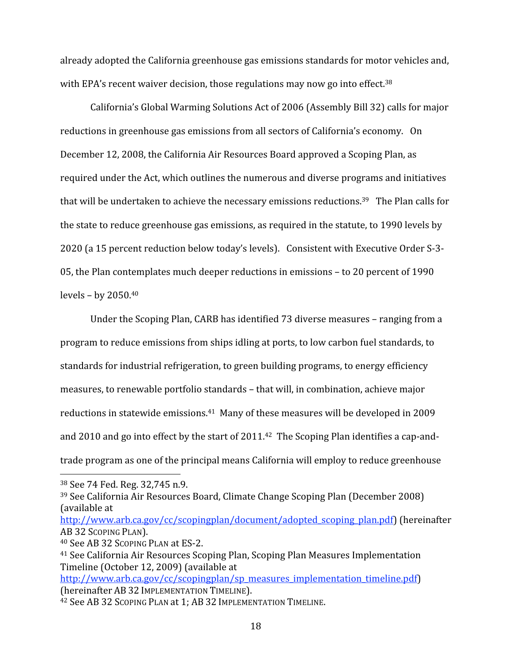already
adopted
the
California
greenhouse
gas
emissions
standards
for
motor
vehicles
and, with EPA's recent waiver decision, those regulations may now go into effect.<sup>38</sup>

California's
Global
Warming
Solutions
Act
of
2006
(Assembly
Bill
32)
calls
for
major reductions
in
greenhouse
gas
emissions
from
all
sectors
of
California's
economy.

On December
12,
2008,
the
California
Air
Resources
Board
approved
a
Scoping
Plan,
as required
under
the
Act,
which
outlines
the
numerous
and
diverse
programs
and
initiatives that will be undertaken to achieve the necessary emissions reductions.<sup>39</sup> The Plan calls for the
state
to
reduce
greenhouse
gas
emissions,
as
required
in
the
statute,
to
1990
levels
by 2020
(a
15
percent
reduction
below
today's
levels).

Consistent
with
Executive
Order
S‐3‐ 05,
the
Plan
contemplates
much
deeper
reductions
in
emissions
– to
20
percent
of
1990 levels
–
by
2050.40

Under the Scoping Plan, CARB has identified 73 diverse measures – ranging from a program
to
reduce
emissions
from
ships
idling
at
ports,
to
low
carbon
fuel
standards,
to standards for industrial refrigeration, to green building programs, to energy efficiency measures,
to
renewable
portfolio
standards
–
that
will,
in
combination,
achieve
major reductions in statewide emissions.<sup>41</sup> Many of these measures will be developed in 2009 and 2010 and go into effect by the start of 2011.<sup>42</sup> The Scoping Plan identifies a cap-andtrade
program
as
one
of
the
principal
means
California
will
employ
to
reduce
greenhouse

http://www.arb.ca.gov/cc/scopingplan/sp\_measures\_implementation\_timeline.pdf) (hereinafter AB 32 IMPLEMENTATION
TIMELINE).

 38
See
74
Fed.
Reg.
32,745
n.9.

<sup>39</sup>See
California
Air
Resources
Board,
Climate
Change
Scoping
Plan
(December
2008) (available
at

http://www.arb.ca.gov/cc/scopingplan/document/adopted\_scoping\_plan.pdf)
(hereinafter AB
32
SCOPING
PLAN).

<sup>40</sup>See
AB
32
SCOPING
PLAN
at
ES‐2.

<sup>41</sup>See
California
Air
Resources
Scoping
Plan,
Scoping
Plan
Measures
Implementation Timeline
(October
12,
2009)
(available
at

<sup>42</sup>See
AB
32
SCOPING
PLAN
at
1;
AB 32 IMPLEMENTATION
TIMELINE.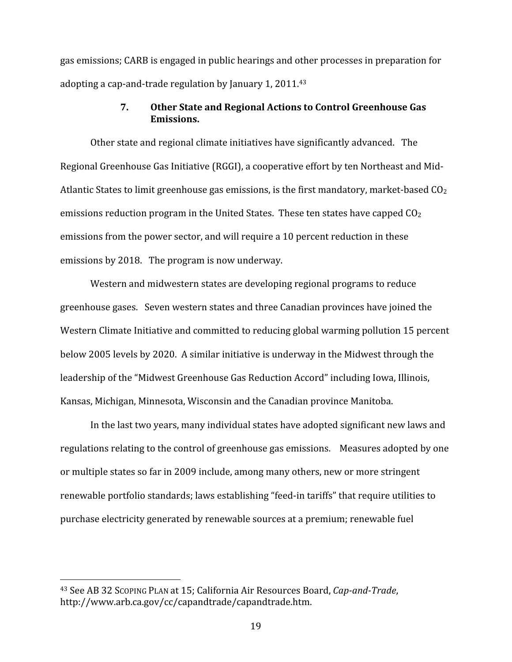gas
emissions;
CARB
is
engaged
in
public
hearings
and
other
processes
in
preparation
for adopting a cap-and-trade regulation by January 1, 2011.<sup>43</sup>

## **7. Other
State
and
Regional
Actions
to
Control
Greenhouse
Gas Emissions.**

Other state and regional climate initiatives have significantly advanced. The Regional Greenhouse Gas Initiative (RGGI), a cooperative effort by ten Northeast and Mid-Atlantic States to limit greenhouse gas emissions, is the first mandatory, market-based CO<sub>2</sub> emissions reduction program in the United States. These ten states have capped CO<sub>2</sub> emissions
from
the
power
sector,
and will
require
a
10
percent
reduction
in
these emissions
by
2018.

The
program
is
now
underway.

Western and midwestern states are developing regional programs to reduce greenhouse
gases.

Seven
western
states
and
three
Canadian
provinces
have
joined
the Western Climate Initiative and committed to reducing global warming pollution 15 percent below 2005 levels by 2020. A similar initiative is underway in the Midwest through the leadership of the "Midwest Greenhouse Gas Reduction Accord" including Iowa, Illinois, Kansas,
Michigan,
Minnesota,
Wisconsin
and
the
Canadian
province
Manitoba.

In the last two years, many individual states have adopted significant new laws and regulations relating to the control of greenhouse gas emissions. Measures adopted by one or
multiple
states
so
far
in
2009
include,
among
many
others,
new
or
more
stringent renewable portfolio standards; laws establishing "feed-in tariffs" that require utilities to purchase
electricity
generated
by
renewable
sources
at
a
premium;
renewable
fuel

<sup>&</sup>lt;sup>43</sup> See AB 32 Scoping PLAN at 15; California Air Resources Board, Cap-and-Trade, http://www.arb.ca.gov/cc/capandtrade/capandtrade.htm.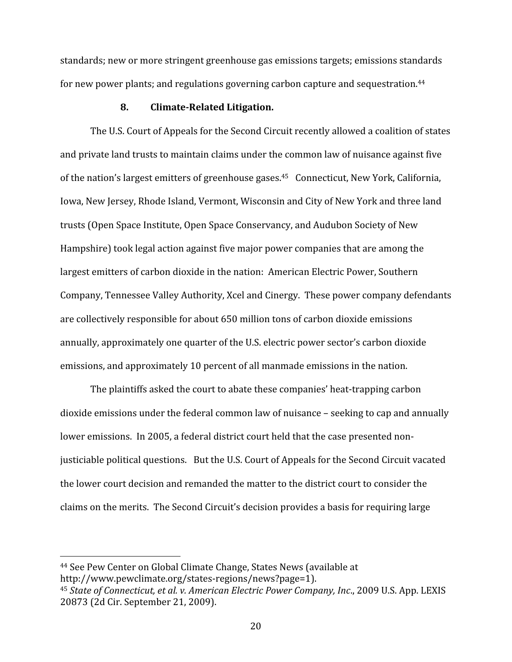standards;
new
or
more
stringent
greenhouse
gas
emissions
targets;
emissions
standards for new power plants; and regulations governing carbon capture and sequestration.<sup>44</sup>

#### 8. Climate-Related Litigation.

The U.S. Court of Appeals for the Second Circuit recently allowed a coalition of states and private land trusts to maintain claims under the common law of nuisance against five of the nation's largest emitters of greenhouse gases.<sup>45</sup> Connecticut, New York, California, Iowa,
New
Jersey,
Rhode
Island,
Vermont,
Wisconsin
and
City
of
New
York
and
three
land trusts
(Open
Space
Institute,
Open
Space
Conservancy,
and
Audubon
Society
of
New Hampshire)
took
legal
action
against
five
major
power
companies
that
are
among
the largest
emitters
of
carbon
dioxide
in
the
nation: American
Electric
Power,
Southern Company,
Tennessee
Valley
Authority,
Xcel
and
Cinergy.

These
power
company
defendants are
collectively
responsible
for
about
650
million
tons
of
carbon
dioxide
emissions annually,
approximately
one
quarter
of
the
U.S.
electric
power
sector's
carbon
dioxide emissions,
and
approximately
10
percent
of
all
manmade
emissions
in
the
nation.

The
plaintiffs
asked
the
court
to
abate
these
companies'
heat‐trapping
carbon dioxide
emissions
under
the
federal
common
law
of
nuisance
–
seeking
to
cap
and
annually lower emissions. In 2005, a federal district court held that the case presented nonjusticiable
political
questions.

But
the
U.S.
Court
of
Appeals
for
the
Second
Circuit
vacated the
lower
court
decision
and
remanded
the
matter
to
the
district
court
to
consider
the claims
on
the
merits.

The
Second
Circuit's
decision
provides
a
basis
for
requiring
large

<sup>44</sup>See
Pew
Center
on
Global
Climate
Change,
States
News
(available
at http://www.pewclimate.org/states‐regions/news?page=1). <sup>45</sup> State of Connecticut, et al. v. American Electric Power Company, Inc., 2009 U.S. App. LEXIS 20873
(2d
Cir.
September
21,
2009).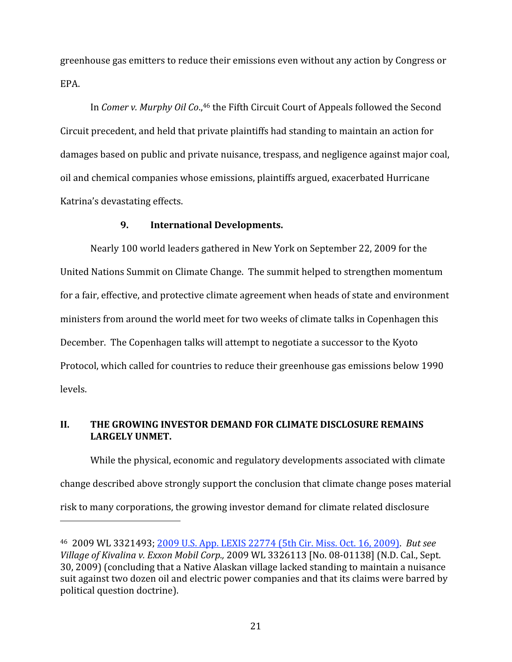greenhouse
gas
emitters
to
reduce
their
emissions
even
without
any
action
by
Congress
or EPA.

In Comer v. Murphy Oil Co.,<sup>46</sup> the Fifth Circuit Court of Appeals followed the Second Circuit precedent, and held that private plaintiffs had standing to maintain an action for damages
based
on
public
and
private
nuisance,
trespass,
and
negligence
against
major
coal, oil
and
chemical
companies
whose
emissions,
plaintiffs
argued,
exacerbated
Hurricane Katrina's
devastating
effects.

#### **9. International
Developments.**

Nearly
100
world
leaders
gathered
in
New
York
on
September
22,
2009
for
the United Nations Summit on Climate Change. The summit helped to strengthen momentum for a fair, effective, and protective climate agreement when heads of state and environment ministers
from
around
the
world
meet
for
two
weeks
of
climate
talks
in
Copenhagen
this December. The Copenhagen talks will attempt to negotiate a successor to the Kyoto Protocol,
which
called
for
countries
to
reduce
their
greenhouse
gas
emissions
below
1990 levels.

### **II. THE
GROWING
INVESTOR
DEMAND
FOR
CLIMATE
DISCLOSURE
REMAINS LARGELY
UNMET.**

While the physical, economic and regulatory developments associated with climate change
described
above
strongly
support
the
conclusion
that
climate
change
poses
material risk
to
many
corporations,
the
growing
investor
demand
for
climate
related
disclosure

<sup>46

2009</sup>WL
3321493;
2009
U.S.
App.
LEXIS
22774
(5th
Cir.
Miss.
Oct.
16,
2009).*But
see*  Village of Kivalina v. Exxon Mobil Corp., 2009 WL 3326113 [No. 08-01138] (N.D. Cal., Sept. 30,
2009)
(concluding
that
a
Native
Alaskan
village
lacked
standing
to
maintain
a
nuisance suit against two dozen oil and electric power companies and that its claims were barred by political
question
doctrine).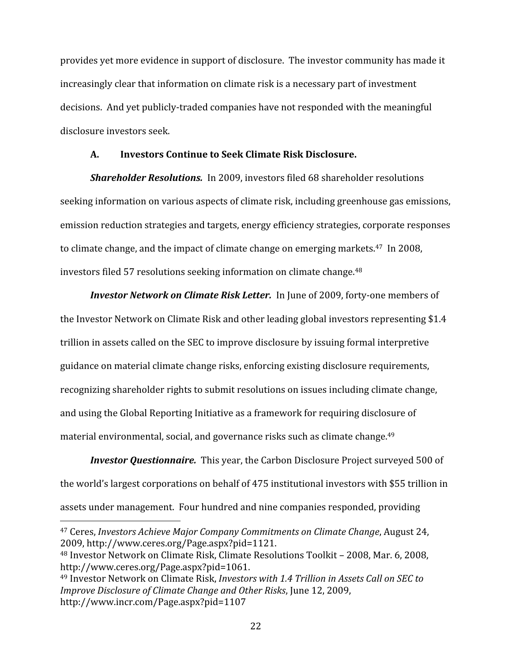provides
yet
more
evidence
in
support
of
disclosure.

The
investor
community
has
made
it increasingly
clear
that
information
on
climate
risk
is
a
necessary
part
of
investment decisions.

And
yet
publicly‐traded
companies
have
not
responded
with
the
meaningful disclosure
investors
seek.

### **A. Investors Continue
to
Seek
Climate
Risk
Disclosure.**

**Shareholder Resolutions.** In 2009, investors filed 68 shareholder resolutions seeking
information
on
various
aspects
of
climate
risk,
including
greenhouse
gas
emissions, emission
reduction
strategies
and
targets,
energy
efficiency
strategies,
corporate
responses to climate change, and the impact of climate change on emerging markets.<sup>47</sup> In 2008, investors
filed
57
resolutions
seeking
information
on
climate
change.48

*Investor Network on Climate Risk Letter.* In June of 2009, forty-one members of the
Investor
Network
on
Climate
Risk
and
other
leading
global
investors
representing
\$1.4 trillion
in
assets
called
on
the
SEC
to
improve
disclosure
by
issuing
formal
interpretive guidance
on
material
climate
change
risks,
enforcing
existing
disclosure
requirements, recognizing shareholder rights to submit resolutions on issues including climate change, and
using
the
Global
Reporting
Initiative
as
a
framework
for
requiring
disclosure
of material
environmental,
social,
and
governance
risks
such
as
climate
change.49

**Investor Questionnaire.** This year, the Carbon Disclosure Project surveyed 500 of the
world's
largest
corporations
on
behalf
of
475
institutional
investors
with
\$55
trillion
in assets
under
management.

Four
hundred
and
nine
companies
responded,
providing

<sup>47</sup>Ceres, *Investors
Achieve
Major
Company
Commitments
on
Climate
Change*,
August
24, 2009,
http://www.ceres.org/Page.aspx?pid=1121.

<sup>48</sup> Investor
Network
on
Climate
Risk,
Climate
Resolutions
Toolkit
–
2008,
Mar.
6,
2008, http://www.ceres.org/Page.aspx?pid=1061.

<sup>&</sup>lt;sup>49</sup> Investor Network on Climate Risk, *Investors with 1.4 Trillion in Assets Call on SEC to Improve
Disclosure
of
Climate
Change
and
Other
Risks*,
June
12,
2009, http://www.incr.com/Page.aspx?pid=1107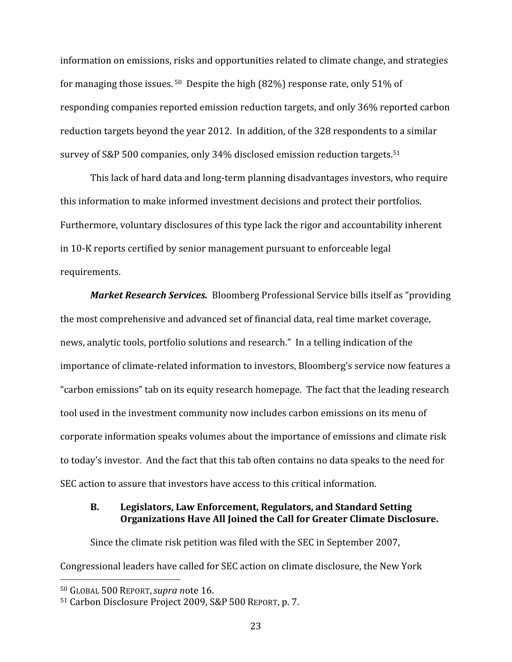information
on
emissions,
risks
and
opportunities
related
to
climate
change,
and
strategies for managing those issues.<sup>50</sup> Despite the high (82%) response rate, only 51% of responding
companies
reported
emission
reduction
targets,
and
only
36%
reported
carbon reduction targets beyond the year 2012. In addition, of the 328 respondents to a similar survey of S&P 500 companies, only 34% disclosed emission reduction targets.<sup>51</sup>

This lack of hard data and long-term planning disadvantages investors, who require this
information
to
make
informed
investment
decisions
and
protect
their
portfolios. Furthermore,
voluntary
disclosures
of
this
type
lack
the
rigor
and
accountability
inherent in
10‐K
reports
certified
by
senior
management
pursuant
to
enforceable
legal requirements.

Market Research Services. Bloomberg Professional Service bills itself as "providing" the
most
comprehensive
and
advanced
set
of
financial
data,
real
time
market
coverage, news,
analytic
tools,
portfolio
solutions
and
research."

In
a
telling
indication
of
the importance of climate-related information to investors, Bloomberg's service now features a "carbon emissions" tab on its equity research homepage. The fact that the leading research tool used in the investment community now includes carbon emissions on its menu of corporate
information
speaks
volumes
about
the
importance
of
emissions
and
climate
risk to today's investor. And the fact that this tab often contains no data speaks to the need for SEC action to assure that investors have access to this critical information.

# **B. Legislators,
Law
Enforcement,
Regulators,
and
Standard
Setting Organizations
Have
All
Joined
the
Call
for
Greater
Climate
Disclosure.**

Since
the
climate
risk
petition
was
filed
with
the
SEC
in
September
2007, Congressional
leaders
have
called
for
SEC
action
on
climate
disclosure,
the
New
York

<sup>50</sup> GLOBAL
500 REPORT,*supra
n*ote
16.

<sup>51</sup>Carbon
Disclosure
Project
2009,
S&P 500 REPORT,
p.
7.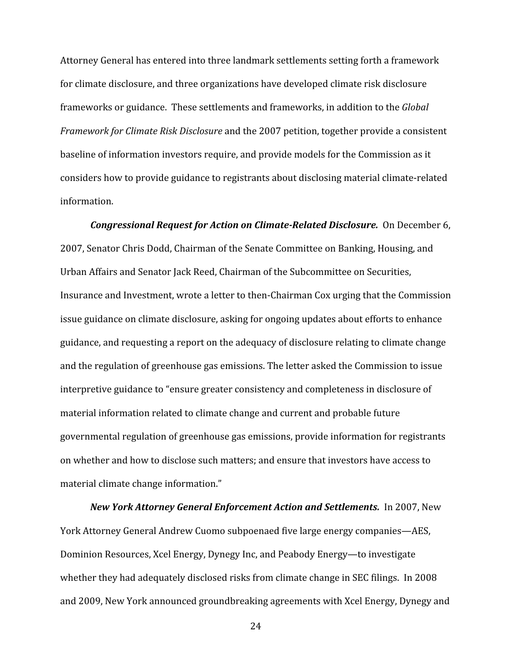Attorney General has entered into three landmark settlements setting forth a framework for
climate
disclosure,
and
three
organizations
have
developed
climate
risk
disclosure frameworks
or
guidance.

These
settlements
and
frameworks,
in
addition
to
the *Global Framework
for
Climate
Risk
Disclosure*and
the
2007
petition,
together
provide
a
consistent baseline
of
information
investors
require,
and
provide
models
for
the
Commission
as
it considers
how
to
provide
guidance
to
registrants
about
disclosing
material
climate‐related information.

**Congressional Request for Action on Climate-Related Disclosure.** On December 6, 2007,
Senator
Chris
Dodd,
Chairman
of
the
Senate
Committee
on
Banking,
Housing,
and Urban Affairs and Senator Jack Reed, Chairman of the Subcommittee on Securities, Insurance
and
Investment,
wrote
a
letter
to
then‐Chairman
Cox
urging
that
the
Commission issue guidance on climate disclosure, asking for ongoing updates about efforts to enhance guidance, and requesting a report on the adequacy of disclosure relating to climate change and
the
regulation
of
greenhouse
gas
emissions.
The
letter
asked
the
Commission
to
issue interpretive guidance to "ensure greater consistency and completeness in disclosure of material
information
related
to
climate
change
and
current
and
probable
future governmental
regulation
of
greenhouse
gas
emissions,
provide
information
for
registrants on
whether
and
how
to
disclose
such
matters;
and
ensure
that
investors
have
access
to material
climate
change
information."

New York Attorney General Enforcement Action and Settlements. In 2007, New York
Attorney
General
Andrew
Cuomo
subpoenaed
five
large
energy
companies—AES, Dominion Resources, Xcel Energy, Dynegy Inc, and Peabody Energy—to investigate whether they had adequately disclosed risks from climate change in SEC filings. In 2008 and
2009,
New
York
announced
groundbreaking
agreements
with
Xcel
Energy,
Dynegy
and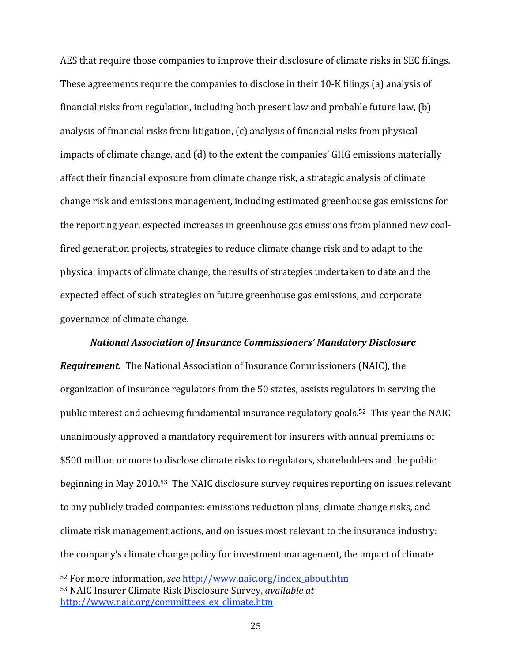AES that require those companies to improve their disclosure of climate risks in SEC filings. These agreements require the companies to disclose in their 10-K filings (a) analysis of financial risks from regulation, including both present law and probable future law, (b) analysis
of
financial
risks
from
litigation,
(c)
analysis
of
financial
risks
from
physical impacts of climate change, and (d) to the extent the companies' GHG emissions materially affect
their
financial
exposure
from
climate
change
risk,
a
strategic
analysis
of
climate change
risk
and
emissions
management,
including
estimated
greenhouse
gas
emissions
for the
reporting
year,
expected
increases
in
greenhouse
gas
emissions
from
planned
new
coal‐ fired generation projects, strategies to reduce climate change risk and to adapt to the physical
impacts
of
climate
change,
the
results
of
strategies
undertaken
to
date
and
the expected
effect
of
such
strategies
on
future
greenhouse
gas
emissions,
and
corporate governance
of
climate
change.

#### *National
Association
of
Insurance
Commissioners'
Mandatory
Disclosure*

**Requirement.** The National Association of Insurance Commissioners (NAIC), the organization
of
insurance
regulators
from
the
50
states,
assists regulators
in
serving
the public interest and achieving fundamental insurance regulatory goals.<sup>52</sup> This year the NAIC unanimously approved a mandatory requirement for insurers with annual premiums of \$500 million or more to disclose climate risks to regulators, shareholders and the public beginning in May 2010.<sup>53</sup> The NAIC disclosure survey requires reporting on issues relevant to any publicly traded companies: emissions reduction plans, climate change risks, and climate
risk
management
actions,
and
on
issues
most
relevant
to
the
insurance
industry: the
company's
climate
change
policy
for
investment
management,
the
impact
of
climate

<sup>52</sup>For
more
information, *see* http://www.naic.org/index\_about.htm 53
NAIC
Insurer
Climate
Risk
Disclosure
Survey, *available
at* http://www.naic.org/committees\_ex\_climate.htm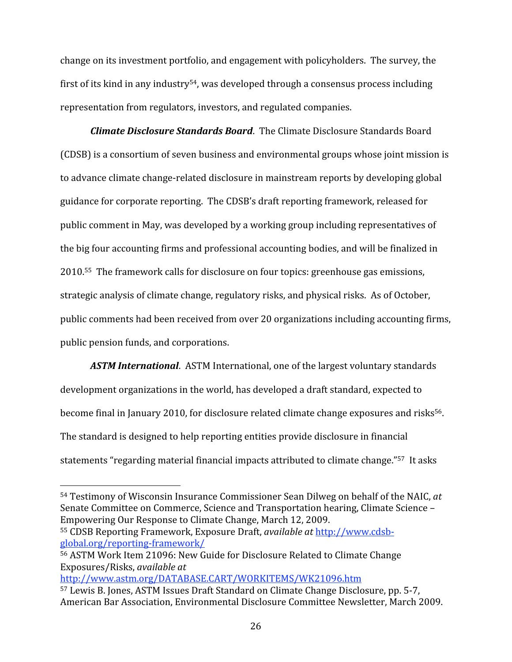change
on
its
investment
portfolio,
and
engagement
with
policyholders.

The
survey,
the first of its kind in any industry<sup>54</sup>, was developed through a consensus process including representation
from
regulators,
investors,
and
regulated
companies.

*Climate
Disclosure
Standards
Board*.

The
Climate
Disclosure
Standards
Board (CDSB)
is
a
consortium
of
seven
business
and
environmental
groups
whose
joint
mission
is to advance climate change-related disclosure in mainstream reports by developing global guidance
for
corporate
reporting.

The
CDSB's
draft
reporting
framework,
released
for public
comment
in
May,
was
developed
by
a
working
group
including
representatives
of the
big
four
accounting
firms
and
professional
accounting
bodies,
and
will
be
finalized
in 2010.55

The
framework
calls
for
disclosure
on
four
topics:
greenhouse
gas
emissions, strategic analysis of climate change, regulatory risks, and physical risks. As of October, public
comments
had
been
received
from
over
20
organizations
including
accounting
firms, public
pension
funds,
and
corporations.

**ASTM International.** ASTM International, one of the largest voluntary standards development
organizations
in
the
world,
has
developed
a
draft
standard,
expected
to become final in January 2010, for disclosure related climate change exposures and risks<sup>56</sup>. The
standard
is
designed
to
help
reporting
entities
provide
disclosure
in
financial statements "regarding material financial impacts attributed to climate change."<sup>57</sup> It asks

55
CDSB
Reporting
Framework,
Exposure
Draft, *available
at* http://www.cdsb‐ global.org/reporting‐framework/

http://www.astm.org/DATABASE.CART/WORKITEMS/WK21096.htm

<sup>54</sup>Testimony
of
Wisconsin
Insurance
Commissioner
Sean
Dilweg
on
behalf
of
the
NAIC, *at*  Senate Committee on Commerce, Science and Transportation hearing, Climate Science -Empowering
Our
Response
to
Climate
Change,
March
12,
2009.

<sup>56</sup>ASTM
Work
Item
21096:
New
Guide
for
Disclosure
Related
to
Climate
Change Exposures/Risks, *available
at*

<sup>57</sup>Lewis
B.
Jones,
ASTM
Issues
Draft
Standard
on
Climate
Change
Disclosure,
pp.
5‐7, American
Bar
Association,
Environmental
Disclosure
Committee
Newsletter,
March
2009.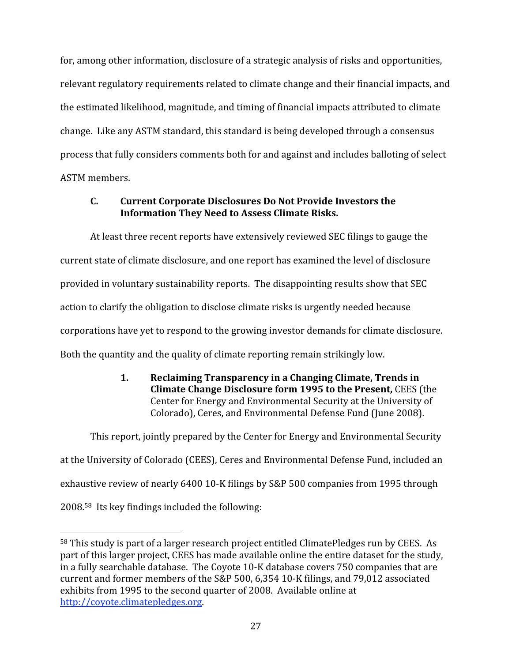for, among other information, disclosure of a strategic analysis of risks and opportunities, relevant regulatory requirements related to climate change and their financial impacts, and the estimated likelihood, magnitude, and timing of financial impacts attributed to climate change.

Like
any
ASTM
standard,
this
standard
is
being
developed
through
a
consensus process
that
fully
considers
comments
both
for
and
against
and
includes
balloting
of
select ASTM
members.

# **C. Current
Corporate
Disclosures
Do
Not
Provide
Investors
the Information
They
Need
to
Assess
Climate
Risks.**

At least three recent reports have extensively reviewed SEC filings to gauge the current
state
of
climate
disclosure,
and
one
report
has
examined
the
level
of
disclosure provided
in
voluntary
sustainability
reports.

The
disappointing
results
show
that
SEC action
to
clarify
the
obligation
to
disclose
climate
risks
is
urgently
needed
because corporations have yet to respond to the growing investor demands for climate disclosure. Both the quantity and the quality of climate reporting remain strikingly low.

> **1. Reclaiming
> Transparency
> in
> a
> Changing
> Climate,
> Trends
> in Climate
> Change
> Disclosure
> form
> 1995
> to
> the
> Present,** CEES
> (the Center
> for
> Energy
> and
> Environmental
> Security
> at
> the
> University
> of Colorado),
> Ceres,
> and
> Environmental
> Defense
> Fund
> (June
> 2008).

This report, jointly prepared by the Center for Energy and Environmental Security at
the
University
of
Colorado
(CEES),
Ceres
and
Environmental
Defense
Fund,
included
an exhaustive review of nearly 6400 10-K filings by S&P 500 companies from 1995 through 2008.58

Its
key
findings
included
the
following:

 <sup>58</sup> This study is part of a larger research project entitled ClimatePledges run by CEES. As part
of
this
larger
project,
CEES
has
made
available
online
the
entire
dataset
for
the
study, in
a
fully
searchable
database.

The
Coyote
10‐K
database
covers
750
companies
that
are current
and
former
members
of
the
S&P
500,
6,354
10‐K
filings,
and
79,012
associated exhibits from 1995 to the second quarter of 2008. Available online at http://coyote.climatepledges.org.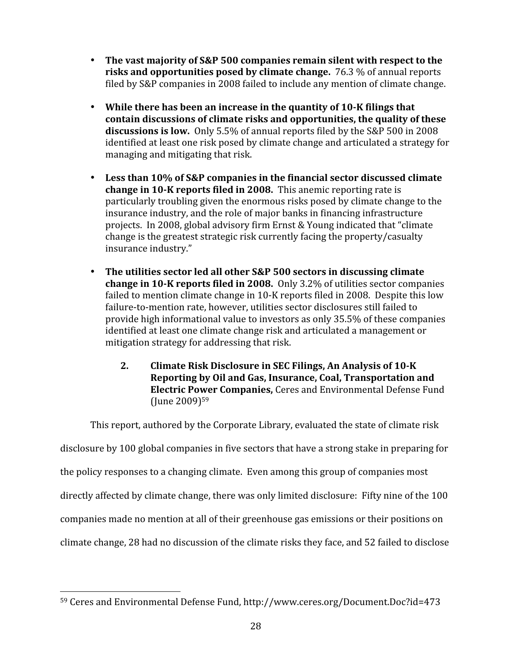- The vast majority of S&P 500 companies remain silent with respect to the **risks and opportunities posed by climate change.** 76.3 % of annual reports filed by S&P companies in 2008 failed to include any mention of climate change.
- While there has been an increase in the quantity of 10-K filings that contain discussions of climate risks and opportunities, the quality of these discussions is low. Only 5.5% of annual reports filed by the S&P 500 in 2008 identified
at
least
one
risk
posed
by
climate
change
and
articulated
a
strategy
for managing
and
mitigating
that
risk.
- Less than 10% of S&P companies in the financial sector discussed climate **change in 10-K reports filed in 2008.** This anemic reporting rate is particularly
troubling
given
the
enormous
risks
posed
by
climate
change
to
the insurance industry, and the role of major banks in financing infrastructure projects.

In
2008,
global
advisory
firm
Ernst
&
Young
indicated
that
"climate change
is
the
greatest
strategic
risk
currently
facing
the
property/casualty insurance
industry."
- The utilities sector led all other S&P 500 sectors in discussing climate change in 10-K reports filed in 2008. Only 3.2% of utilities sector companies failed to mention climate change in 10-K reports filed in 2008. Despite this low failure-to-mention rate, however, utilities sector disclosures still failed to provide
high
informational
value
to
investors
as
only
35.5% of these
companies identified
at
least
one
climate
change
risk
and
articulated
a
management
or mitigation
strategy
for
addressing
that
risk.
	- 2. Climate Risk Disclosure in SEC Filings, An Analysis of 10-K **Reporting
	by
	Oil
	and
	Gas,
	Insurance,
	Coal,
	Transportation
	and Electric
	Power
	Companies,**Ceres
	and
	Environmental
	Defense
	Fund (June 2009)<sup>59</sup>

This report, authored by the Corporate Library, evaluated the state of climate risk

disclosure
by
100
global
companies
in
five
sectors
that
have
a
strong
stake
in
preparing
for

the
policy
responses
to
a
changing
climate.

Even
among
this
group
of
companies
most

directly affected by climate change, there was only limited disclosure: Fifty nine of the 100

companies
made
no
mention
at
all
of
their
greenhouse
gas
emissions
or
their
positions
on

climate
change,
28
had
no
discussion
of
the
climate
risks
they
face,
and
52
failed
to
disclose

<sup>59</sup>Ceres
and
Environmental
Defense
Fund,
http://www.ceres.org/Document.Doc?id=473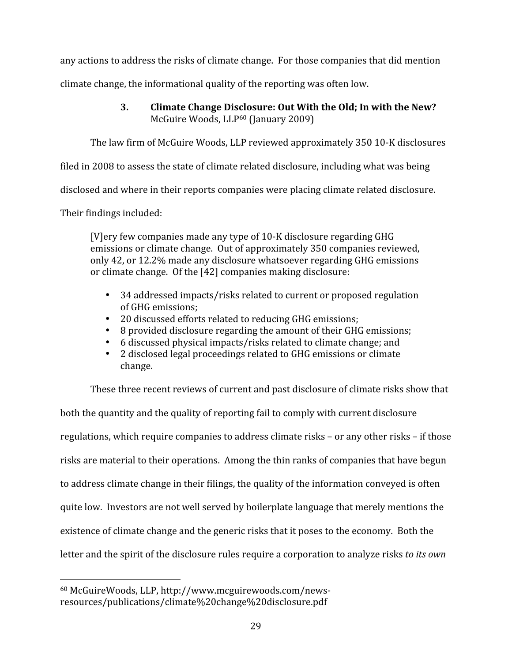any
actions
to
address
the
risks
of
climate
change.

For
those
companies
that
did
mention

climate
change,
the
informational
quality
of
the
reporting
was
often
low.

# **3. Climate
Change
Disclosure:
Out
With
the
Old;
In
with
the
New?**  McGuire Woods, LLP<sup>60</sup> (January 2009)

The
law
firm
of
McGuire
Woods,
LLP
reviewed
approximately
350
10‐K
disclosures

filed in 2008 to assess the state of climate related disclosure, including what was being

disclosed
and
where
in
their
reports
companies
were
placing
climate
related
disclosure.

Their
findings
included:

[V]ery
few
companies
made
any
type
of
10‐K
disclosure
regarding
GHG emissions or climate change. Out of approximately 350 companies reviewed, only
42,
or
12.2%
made
any
disclosure
whatsoever
regarding
GHG
emissions or
climate
change.

Of
the
[42]
companies
making
disclosure:

- 34 addressed impacts/risks related to current or proposed regulation of
GHG
emissions;
- 20 discussed efforts related to reducing GHG emissions;
- 8 provided disclosure regarding the amount of their GHG emissions;
- 6
discussed
physical
impacts/risks
related
to
climate
change;
and
- 2
disclosed
legal
proceedings
related
to
GHG
emissions
or
climate change.

These three recent reviews of current and past disclosure of climate risks show that both the quantity and the quality of reporting fail to comply with current disclosure regulations, which require companies to address climate risks - or any other risks - if those risks
are
material
to
their
operations.

Among
the
thin
ranks
of
companies
that
have
begun to address climate change in their filings, the quality of the information conveyed is often quite
low.

Investors
are
not
well
served
by
boilerplate
language
that
merely
mentions
the existence of climate change and the generic risks that it poses to the economy. Both the letter and the spirit of the disclosure rules require a corporation to analyze risks *to its own* 

<sup>60</sup>McGuireWoods,
LLP,
http://www.mcguirewoods.com/news‐ resources/publications/climate%20change%20disclosure.pdf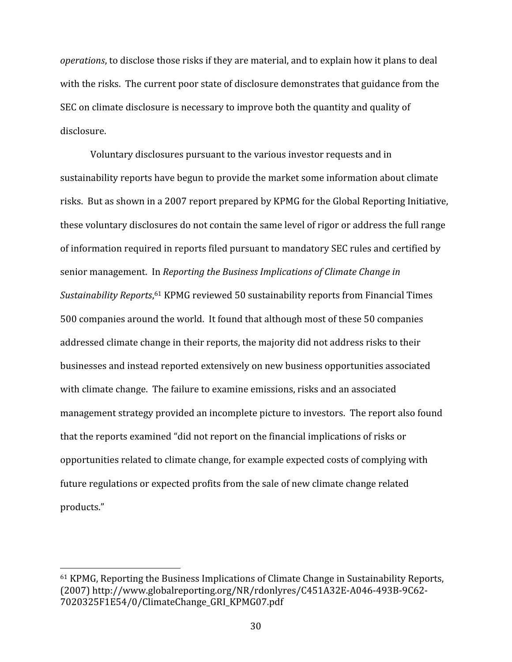operations, to disclose those risks if they are material, and to explain how it plans to deal with the risks. The current poor state of disclosure demonstrates that guidance from the SEC on climate disclosure is necessary to improve both the quantity and quality of disclosure.

Voluntary disclosures pursuant to the various investor requests and in sustainability
reports
have
begun
to
provide
the
market
some
information
about
climate risks.

But
as
shown
in
a
2007
report
prepared
by
KPMG
for
the
Global
Reporting
Initiative, these
voluntary
disclosures
do
not
contain
the
same
level
of
rigor
or
address
the
full
range of
information
required
in
reports
filed
pursuant
to
mandatory
SEC
rules
and
certified
by senior management. In *Reporting the Business Implications of Climate Change in* Sustainability Reports,<sup>61</sup> KPMG reviewed 50 sustainability reports from Financial Times 500
companies
around
the
world.

It
found
that
although
most
of
these
50
companies addressed climate change in their reports, the majority did not address risks to their businesses
and
instead
reported
extensively
on
new
business
opportunities
associated with climate change. The failure to examine emissions, risks and an associated management
strategy
provided
an
incomplete
picture
to
investors.

The
report
also
found that the reports examined "did not report on the financial implications of risks or opportunities
related
to
climate
change,
for
example
expected
costs
of
complying
with future regulations or expected profits from the sale of new climate change related products."

<sup>61</sup>KPMG,
Reporting
the
Business
Implications
of
Climate
Change
in
Sustainability
Reports, (2007)
http://www.globalreporting.org/NR/rdonlyres/C451A32E‐A046‐493B‐9C62‐ 7020325F1E54/0/ClimateChange\_GRI\_KPMG07.pdf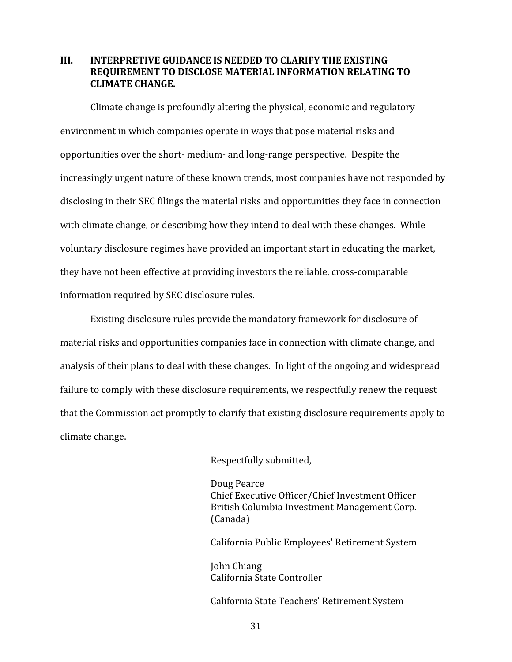## **III. INTERPRETIVE GUIDANCE IS NEEDED TO CLARIFY THE EXISTING REQUIREMENT
TO
DISCLOSE
MATERIAL
INFORMATION
RELATING
TO CLIMATE
CHANGE.**

Climate
change
is
profoundly
altering
the
physical,
economic
and
regulatory environment
in
which
companies
operate
in
ways
that
pose
material
risks
and opportunities
over
the
short‐
medium‐
and
long‐range
perspective.

Despite
the increasingly
urgent
nature
of
these
known
trends,
most
companies
have
not
responded
by disclosing in their SEC filings the material risks and opportunities they face in connection with climate change, or describing how they intend to deal with these changes. While voluntary disclosure regimes have provided an important start in educating the market, they
have
not
been
effective
at
providing
investors
the
reliable,
cross‐comparable information
required
by
SEC
disclosure
rules.

Existing disclosure rules provide the mandatory framework for disclosure of material
risks
and
opportunities
companies
face
in
connection
with
climate
change,
and analysis
of
their
plans
to
deal
with
these
changes.

In
light
of
the
ongoing
and
widespread failure to comply with these disclosure requirements, we respectfully renew the request that
the
Commission
act
promptly
to
clarify
that
existing
disclosure
requirements
apply
to climate
change.

Respectfully
submitted,

Doug
Pearce Chief
Executive
Officer/Chief
Investment
Officer British
Columbia
Investment
Management
Corp. (Canada)

California
Public
Employees'
Retirement
System

John
Chiang California
State
Controller

California
State
Teachers'
Retirement
System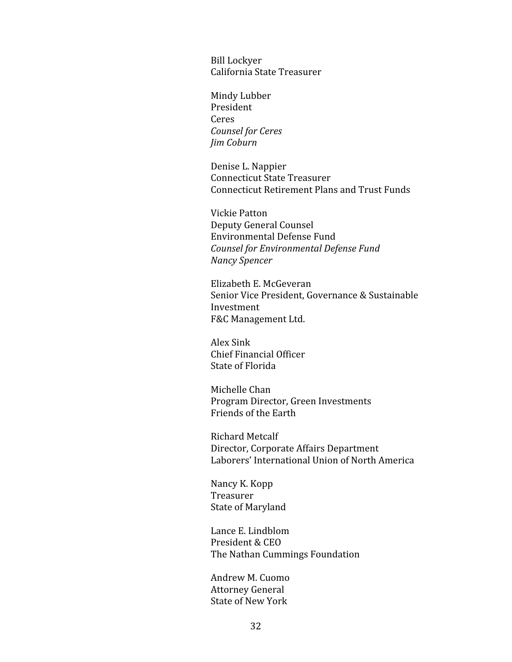Bill
Lockyer California
State
Treasurer

Mindy
Lubber President Ceres *Counsel
for
Ceres Jim
Coburn*

Denise
L.
Nappier Connecticut
State
Treasurer Connecticut
Retirement
Plans
and
Trust
Funds

Vickie
Patton Deputy
General
Counsel Environmental
Defense
Fund *Counsel
for
Environmental
Defense
Fund Nancy
Spencer*

Elizabeth
E.
McGeveran Senior
Vice
President,
Governance
&
Sustainable Investment F&C
Management
Ltd.

Alex
Sink Chief
Financial
Officer State
of
Florida

Michelle
Chan Program
Director,
Green
Investments Friends
of
the
Earth

Richard
Metcalf Director,
Corporate
Affairs
Department Laborers'
International
Union
of
North
America

Nancy
K.
Kopp Treasurer State
of
Maryland

Lance
E.
Lindblom President
&
CEO The
Nathan
Cummings
Foundation

Andrew
M.
Cuomo Attorney
General State
of
New
York